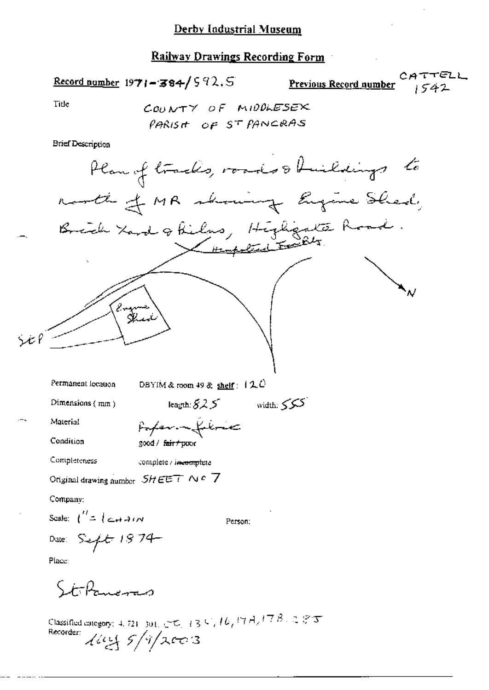## **Railway Drawings Recording Form**

## Record number 1971-384/592.5

Previous Record number

CATTELL 1542

Title

COUNTY OF MIDDLESEX PARISH OF ST PANCRAS

**Brief Description** 

Person:

 $-$ Material

Condition

Poper of filmer good / fair + poor

Completeness

complete / incomplete

Original drawing number  $SHEET \wedge c$  7

Company:

Scale:  $\int_{0}^{H} = \int_{0}^{H} \epsilon H d\mu$ 

Date: Sept 1874

Place:

StoPaneras

Classified entegory: 4, 721 301, CHC, 13 C, 16, 17 A, 17 B, 2 8 T<br>Recorder:<br> $\sqrt{d\mu}$  5/9/2003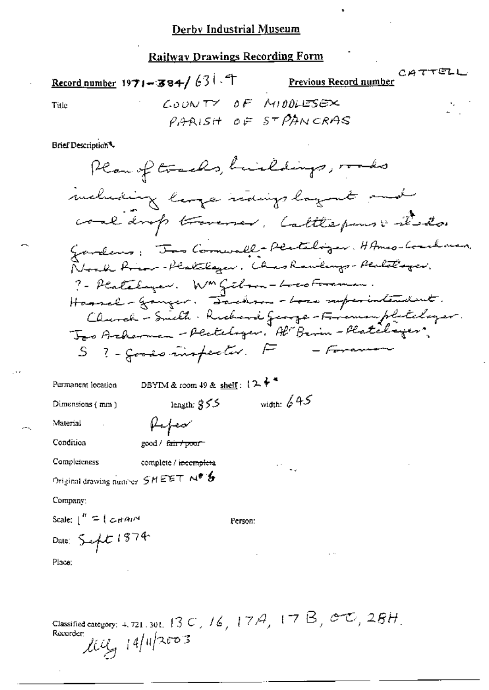## **Railway Drawings Recording Form**

Record number 1971-384/631.7

Previous Record number

 $CATTELI$ 

Title

COUNTY OF MIDDLESEX PARISH OF STPANCRAS

Brief Description<sup>4</sup>

Plan of tracks, buildings, roads meluding large natings layent and coal drop troverser. Cattlepuns : d'ator Gardens: Too Comwall-Perteliger, HAmes-Localines, Road Rinn-Plattlager, Chas Rawlings-Plattlager. ? - Platelayer. W<sup>on</sup> Gibson-Locoboraman. Hannel - Ganger. Dachm- - Lose superintendent. Clurch - Smith : Richard Jeorge - Framon platelayer.<br>Jeo Arkerman - Plateloger, Al Berin - Platelayer. S ?- goods inspective F - Foreman

DBYIM & room 49 & shelf:  $(2)^{\frac{1}{2}}$ Permanent location width:  $645$ length:  $$55$ Dimensions  $(mn)$ fufer Material Condition good / fair / poor Completeness complete / incomplete Original drawing number SHEET Nº & Company: Scale:  $\int_0^R f(x) dx$ Person: Date: Sept 1874 Place:

Classified category: 4, 721, 301, 13 C, 16, 17A, 17B, CC, CG, 28H,  $14/4$   $2003$ Recorder: